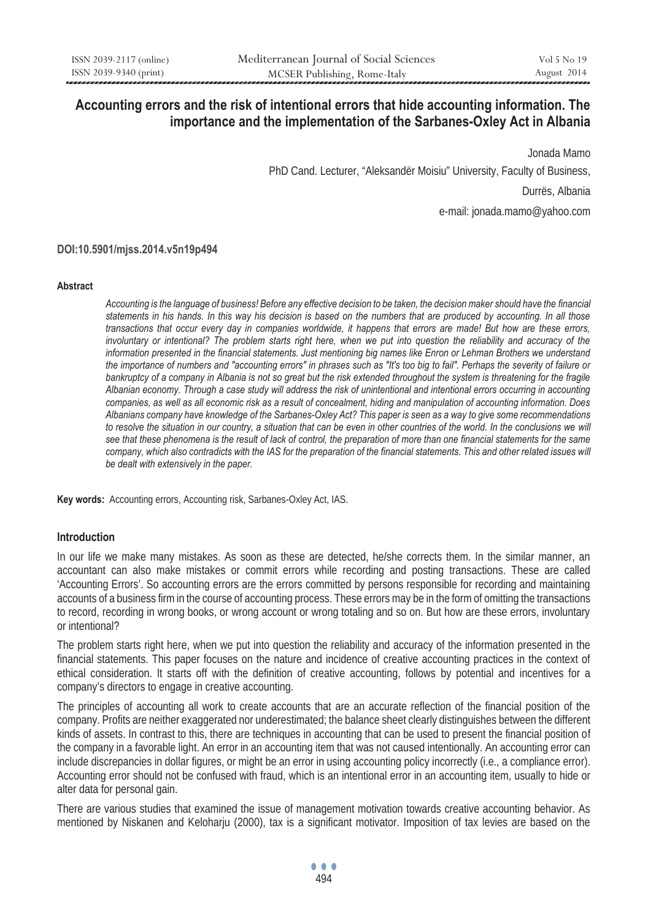# **Accounting errors and the risk of intentional errors that hide accounting information. The importance and the implementation of the Sarbanes-Oxley Act in Albania**

Jonada Mamo PhD Cand. Lecturer, "Aleksandër Moisiu" University, Faculty of Business, Durrës, Albania

e-mail: jonada.mamo@yahoo.com

### **DOI:10.5901/mjss.2014.v5n19p494**

#### **Abstract**

*Accounting is the language of business! Before any effective decision to be taken, the decision maker should have the financial statements in his hands. In this way his decision is based on the numbers that are produced by accounting. In all those transactions that occur every day in companies worldwide, it happens that errors are made! But how are these errors, involuntary or intentional? The problem starts right here, when we put into question the reliability and accuracy of the information presented in the financial statements. Just mentioning big names like Enron or Lehman Brothers we understand the importance of numbers and "accounting errors" in phrases such as "It's too big to fail". Perhaps the severity of failure or* bankruptcy of a company in Albania is not so great but the risk extended throughout the system is threatening for the fragile *Albanian economy. Through a case study will address the risk of unintentional and intentional errors occurring in accounting companies, as well as all economic risk as a result of concealment, hiding and manipulation of accounting information. Does Albanians company have knowledge of the Sarbanes-Oxley Act? This paper is seen as a way to give some recommendations*  to resolve the situation in our country, a situation that can be even in other countries of the world. In the conclusions we will *see that these phenomena is the result of lack of control, the preparation of more than one financial statements for the same*  company, which also contradicts with the IAS for the preparation of the financial statements. This and other related issues will *be dealt with extensively in the paper.* 

**Key words:** Accounting errors, Accounting risk, Sarbanes-Oxley Act, IAS.

### **Introduction**

In our life we make many mistakes. As soon as these are detected, he/she corrects them. In the similar manner, an accountant can also make mistakes or commit errors while recording and posting transactions. These are called 'Accounting Errors'. So accounting errors are the errors committed by persons responsible for recording and maintaining accounts of a business firm in the course of accounting process. These errors may be in the form of omitting the transactions to record, recording in wrong books, or wrong account or wrong totaling and so on. But how are these errors, involuntary or intentional?

The problem starts right here, when we put into question the reliability and accuracy of the information presented in the financial statements. This paper focuses on the nature and incidence of creative accounting practices in the context of ethical consideration. It starts off with the definition of creative accounting, follows by potential and incentives for a company's directors to engage in creative accounting.

The principles of accounting all work to create accounts that are an accurate reflection of the financial position of the company. Profits are neither exaggerated nor underestimated; the balance sheet clearly distinguishes between the different kinds of assets. In contrast to this, there are techniques in accounting that can be used to present the financial position of the company in a favorable light. An error in an accounting item that was not caused intentionally. An accounting error can include discrepancies in dollar figures, or might be an error in using accounting policy incorrectly (i.e., a compliance error). Accounting error should not be confused with fraud, which is an intentional error in an accounting item, usually to hide or alter data for personal gain.

There are various studies that examined the issue of management motivation towards creative accounting behavior. As mentioned by Niskanen and Keloharju (2000), tax is a significant motivator. Imposition of tax levies are based on the

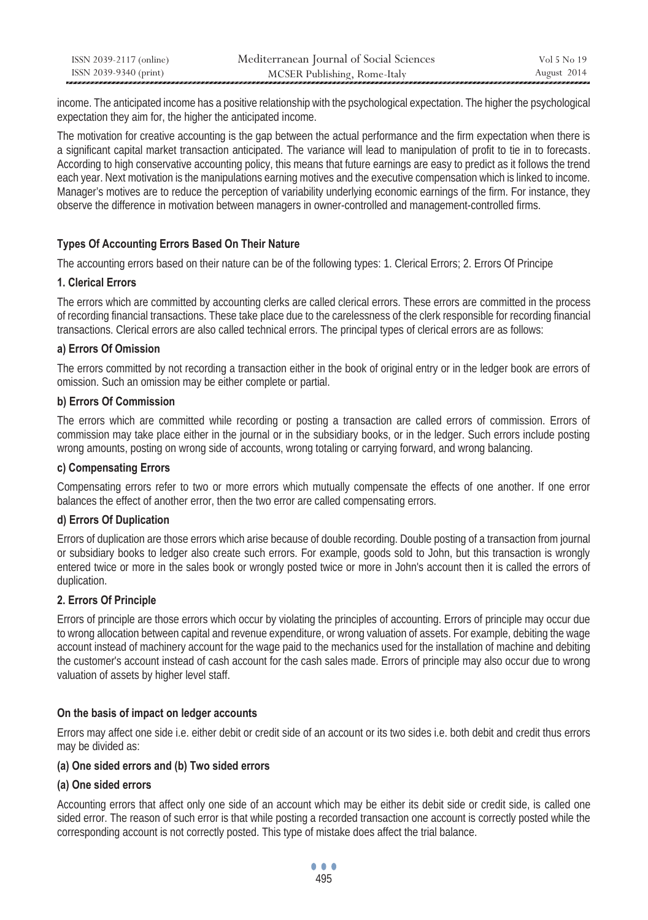| ISSN 2039-2117 (online) | Mediterranean Journal of Social Sciences | Vol 5 No 19 |
|-------------------------|------------------------------------------|-------------|
| ISSN 2039-9340 (print)  | MCSER Publishing, Rome-Italy             | August 2014 |

income. The anticipated income has a positive relationship with the psychological expectation. The higher the psychological expectation they aim for, the higher the anticipated income.

The motivation for creative accounting is the gap between the actual performance and the firm expectation when there is a significant capital market transaction anticipated. The variance will lead to manipulation of profit to tie in to forecasts. According to high conservative accounting policy, this means that future earnings are easy to predict as it follows the trend each year. Next motivation is the manipulations earning motives and the executive compensation which is linked to income. Manager's motives are to reduce the perception of variability underlying economic earnings of the firm. For instance, they observe the difference in motivation between managers in owner-controlled and management-controlled firms.

# **Types Of Accounting Errors Based On Their Nature**

The accounting errors based on their nature can be of the following types: 1. Clerical Errors; 2. Errors Of Principe

### **1. Clerical Errors**

The errors which are committed by accounting clerks are called clerical errors. These errors are committed in the process of recording financial transactions. These take place due to the carelessness of the clerk responsible for recording financial transactions. Clerical errors are also called technical errors. The principal types of clerical errors are as follows:

### **a) Errors Of Omission**

The errors committed by not recording a transaction either in the book of original entry or in the ledger book are errors of omission. Such an omission may be either complete or partial.

#### **b) Errors Of Commission**

The errors which are committed while recording or posting a transaction are called errors of commission. Errors of commission may take place either in the journal or in the subsidiary books, or in the ledger. Such errors include posting wrong amounts, posting on wrong side of accounts, wrong totaling or carrying forward, and wrong balancing.

### **c) Compensating Errors**

Compensating errors refer to two or more errors which mutually compensate the effects of one another. If one error balances the effect of another error, then the two error are called compensating errors.

### **d) Errors Of Duplication**

Errors of duplication are those errors which arise because of double recording. Double posting of a transaction from journal or subsidiary books to ledger also create such errors. For example, goods sold to John, but this transaction is wrongly entered twice or more in the sales book or wrongly posted twice or more in John's account then it is called the errors of duplication.

### **2. Errors Of Principle**

Errors of principle are those errors which occur by violating the principles of accounting. Errors of principle may occur due to wrong allocation between capital and revenue expenditure, or wrong valuation of assets. For example, debiting the wage account instead of machinery account for the wage paid to the mechanics used for the installation of machine and debiting the customer's account instead of cash account for the cash sales made. Errors of principle may also occur due to wrong valuation of assets by higher level staff.

### **On the basis of impact on ledger accounts**

Errors may affect one side i.e. either debit or credit side of an account or its two sides i.e. both debit and credit thus errors may be divided as:

#### **(a) One sided errors and (b) Two sided errors**

# **(a) One sided errors**

Accounting errors that affect only one side of an account which may be either its debit side or credit side, is called one sided error. The reason of such error is that while posting a recorded transaction one account is correctly posted while the corresponding account is not correctly posted. This type of mistake does affect the trial balance.

... 495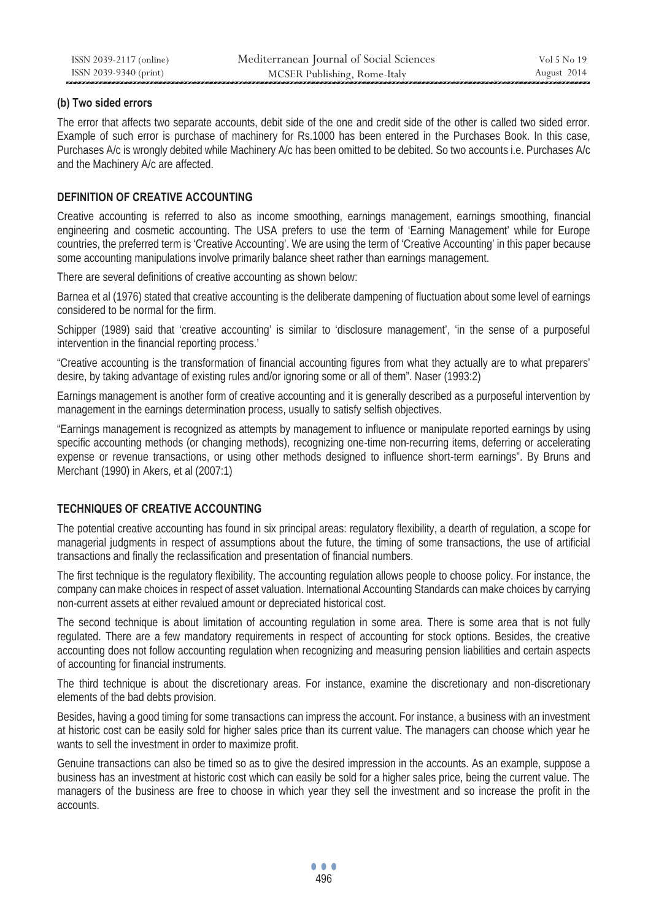# **(b) Two sided errors**

The error that affects two separate accounts, debit side of the one and credit side of the other is called two sided error. Example of such error is purchase of machinery for Rs.1000 has been entered in the Purchases Book. In this case, Purchases A/c is wrongly debited while Machinery A/c has been omitted to be debited. So two accounts i.e. Purchases A/c and the Machinery A/c are affected.

# **DEFINITION OF CREATIVE ACCOUNTING**

Creative accounting is referred to also as income smoothing, earnings management, earnings smoothing, financial engineering and cosmetic accounting. The USA prefers to use the term of 'Earning Management' while for Europe countries, the preferred term is 'Creative Accounting'. We are using the term of 'Creative Accounting' in this paper because some accounting manipulations involve primarily balance sheet rather than earnings management.

There are several definitions of creative accounting as shown below:

Barnea et al (1976) stated that creative accounting is the deliberate dampening of fluctuation about some level of earnings considered to be normal for the firm.

Schipper (1989) said that 'creative accounting' is similar to 'disclosure management', 'in the sense of a purposeful intervention in the financial reporting process.'

"Creative accounting is the transformation of financial accounting figures from what they actually are to what preparers' desire, by taking advantage of existing rules and/or ignoring some or all of them". Naser (1993:2)

Earnings management is another form of creative accounting and it is generally described as a purposeful intervention by management in the earnings determination process, usually to satisfy selfish objectives.

"Earnings management is recognized as attempts by management to influence or manipulate reported earnings by using specific accounting methods (or changing methods), recognizing one-time non-recurring items, deferring or accelerating expense or revenue transactions, or using other methods designed to influence short-term earnings". By Bruns and Merchant (1990) in Akers, et al (2007:1)

# **TECHNIQUES OF CREATIVE ACCOUNTING**

The potential creative accounting has found in six principal areas: regulatory flexibility, a dearth of regulation, a scope for managerial judgments in respect of assumptions about the future, the timing of some transactions, the use of artificial transactions and finally the reclassification and presentation of financial numbers.

The first technique is the regulatory flexibility. The accounting regulation allows people to choose policy. For instance, the company can make choices in respect of asset valuation. International Accounting Standards can make choices by carrying non-current assets at either revalued amount or depreciated historical cost.

The second technique is about limitation of accounting regulation in some area. There is some area that is not fully regulated. There are a few mandatory requirements in respect of accounting for stock options. Besides, the creative accounting does not follow accounting regulation when recognizing and measuring pension liabilities and certain aspects of accounting for financial instruments.

The third technique is about the discretionary areas. For instance, examine the discretionary and non-discretionary elements of the bad debts provision.

Besides, having a good timing for some transactions can impress the account. For instance, a business with an investment at historic cost can be easily sold for higher sales price than its current value. The managers can choose which year he wants to sell the investment in order to maximize profit.

Genuine transactions can also be timed so as to give the desired impression in the accounts. As an example, suppose a business has an investment at historic cost which can easily be sold for a higher sales price, being the current value. The managers of the business are free to choose in which year they sell the investment and so increase the profit in the accounts.

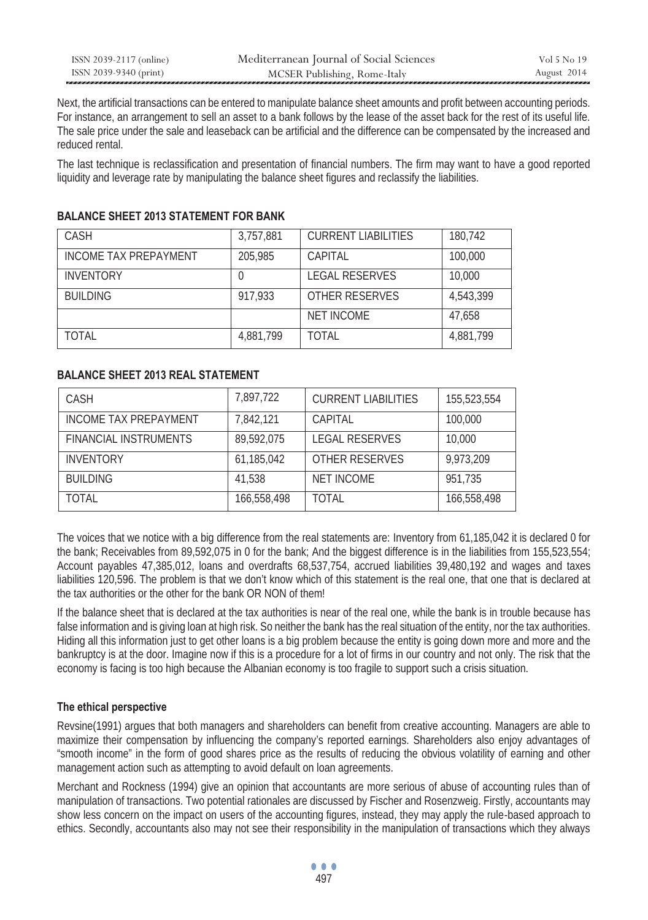| ISSN 2039-2117 (online) | Mediterranean Journal of Social Sciences | Vol 5 No 19 |
|-------------------------|------------------------------------------|-------------|
| ISSN 2039-9340 (print)  | MCSER Publishing, Rome-Italy             | August 2014 |

Next, the artificial transactions can be entered to manipulate balance sheet amounts and profit between accounting periods. For instance, an arrangement to sell an asset to a bank follows by the lease of the asset back for the rest of its useful life. The sale price under the sale and leaseback can be artificial and the difference can be compensated by the increased and reduced rental.

The last technique is reclassification and presentation of financial numbers. The firm may want to have a good reported liquidity and leverage rate by manipulating the balance sheet figures and reclassify the liabilities.

| CASH                  | 3,757,881 | CURRENT LIABILITIES   | 180,742   |
|-----------------------|-----------|-----------------------|-----------|
| INCOME TAX PREPAYMENT | 205,985   | CAPITAL               | 100,000   |
| <b>INVENTORY</b>      |           | <b>LEGAL RESERVES</b> | 10,000    |
| <b>BUILDING</b>       | 917,933   | OTHER RESERVES        | 4,543,399 |
|                       |           | <b>NET INCOME</b>     | 47.658    |
| <b>TOTAL</b>          | 4,881,799 | TOTAL                 | 4,881,799 |

# **BALANCE SHEET 2013 STATEMENT FOR BANK**

# **BALANCE SHEET 2013 REAL STATEMENT**

| CASH                         | 7,897,722   | <b>CURRENT LIABILITIES</b> | 155,523,554 |
|------------------------------|-------------|----------------------------|-------------|
| <b>INCOME TAX PREPAYMENT</b> | 7.842.121   | CAPITAL                    | 100,000     |
| FINANCIAL INSTRUMENTS        | 89.592.075  | <b>LEGAL RESERVES</b>      | 10,000      |
| <b>INVENTORY</b>             | 61,185,042  | OTHER RESERVES             | 9,973,209   |
| <b>BUILDING</b>              | 41,538      | <b>NET INCOME</b>          | 951,735     |
| TOTAL                        | 166,558,498 | <b>IATOT</b>               | 166,558,498 |

The voices that we notice with a big difference from the real statements are: Inventory from 61,185,042 it is declared 0 for the bank; Receivables from 89,592,075 in 0 for the bank; And the biggest difference is in the liabilities from 155,523,554; Account payables 47,385,012, loans and overdrafts 68,537,754, accrued liabilities 39,480,192 and wages and taxes liabilities 120,596. The problem is that we don't know which of this statement is the real one, that one that is declared at the tax authorities or the other for the bank OR NON of them!

If the balance sheet that is declared at the tax authorities is near of the real one, while the bank is in trouble because has false information and is giving loan at high risk. So neither the bank has the real situation of the entity, nor the tax authorities. Hiding all this information just to get other loans is a big problem because the entity is going down more and more and the bankruptcy is at the door. Imagine now if this is a procedure for a lot of firms in our country and not only. The risk that the economy is facing is too high because the Albanian economy is too fragile to support such a crisis situation.

# **The ethical perspective**

Revsine(1991) argues that both managers and shareholders can benefit from creative accounting. Managers are able to maximize their compensation by influencing the company's reported earnings. Shareholders also enjoy advantages of "smooth income" in the form of good shares price as the results of reducing the obvious volatility of earning and other management action such as attempting to avoid default on loan agreements.

Merchant and Rockness (1994) give an opinion that accountants are more serious of abuse of accounting rules than of manipulation of transactions. Two potential rationales are discussed by Fischer and Rosenzweig. Firstly, accountants may show less concern on the impact on users of the accounting figures, instead, they may apply the rule-based approach to ethics. Secondly, accountants also may not see their responsibility in the manipulation of transactions which they always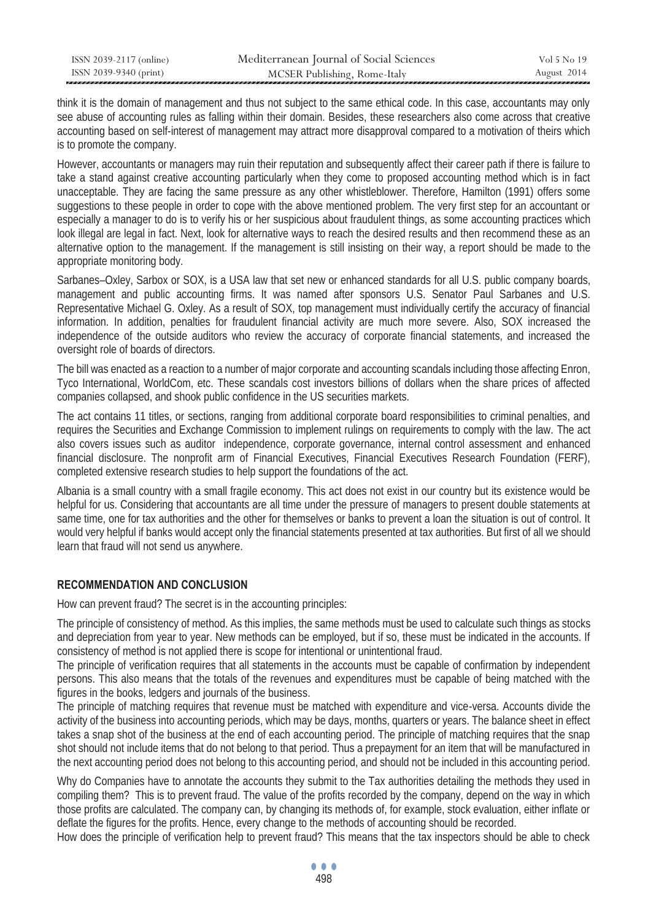| ISSN 2039-2117 (online) | Mediterranean Journal of Social Sciences | Vol 5 No 19 |
|-------------------------|------------------------------------------|-------------|
| ISSN 2039-9340 (print)  | MCSER Publishing, Rome-Italy             | August 2014 |

think it is the domain of management and thus not subject to the same ethical code. In this case, accountants may only see abuse of accounting rules as falling within their domain. Besides, these researchers also come across that creative accounting based on self-interest of management may attract more disapproval compared to a motivation of theirs which is to promote the company.

However, accountants or managers may ruin their reputation and subsequently affect their career path if there is failure to take a stand against creative accounting particularly when they come to proposed accounting method which is in fact unacceptable. They are facing the same pressure as any other whistleblower. Therefore, Hamilton (1991) offers some suggestions to these people in order to cope with the above mentioned problem. The very first step for an accountant or especially a manager to do is to verify his or her suspicious about fraudulent things, as some accounting practices which look illegal are legal in fact. Next, look for alternative ways to reach the desired results and then recommend these as an alternative option to the management. If the management is still insisting on their way, a report should be made to the appropriate monitoring body.

Sarbanes–Oxley, Sarbox or SOX, is a USA law that set new or enhanced standards for all U.S. public company boards, management and public accounting firms. It was named after sponsors U.S. Senator Paul Sarbanes and U.S. Representative Michael G. Oxley. As a result of SOX, top management must individually certify the accuracy of financial information. In addition, penalties for fraudulent financial activity are much more severe. Also, SOX increased the independence of the outside auditors who review the accuracy of corporate financial statements, and increased the oversight role of boards of directors.

The bill was enacted as a reaction to a number of major corporate and accounting scandals including those affecting Enron, Tyco International, WorldCom, etc. These scandals cost investors billions of dollars when the share prices of affected companies collapsed, and shook public confidence in the US securities markets.

The act contains 11 titles, or sections, ranging from additional corporate board responsibilities to criminal penalties, and requires the Securities and Exchange Commission to implement rulings on requirements to comply with the law. The act also covers issues such as auditor independence, corporate governance, internal control assessment and enhanced financial disclosure. The nonprofit arm of Financial Executives, Financial Executives Research Foundation (FERF), completed extensive research studies to help support the foundations of the act.

Albania is a small country with a small fragile economy. This act does not exist in our country but its existence would be helpful for us. Considering that accountants are all time under the pressure of managers to present double statements at same time, one for tax authorities and the other for themselves or banks to prevent a loan the situation is out of control. It would very helpful if banks would accept only the financial statements presented at tax authorities. But first of all we should learn that fraud will not send us anywhere.

# **RECOMMENDATION AND CONCLUSION**

How can prevent fraud? The secret is in the accounting principles:

The principle of consistency of method. As this implies, the same methods must be used to calculate such things as stocks and depreciation from year to year. New methods can be employed, but if so, these must be indicated in the accounts. If consistency of method is not applied there is scope for intentional or unintentional fraud.

The principle of verification requires that all statements in the accounts must be capable of confirmation by independent persons. This also means that the totals of the revenues and expenditures must be capable of being matched with the figures in the books, ledgers and journals of the business.

The principle of matching requires that revenue must be matched with expenditure and vice-versa. Accounts divide the activity of the business into accounting periods, which may be days, months, quarters or years. The balance sheet in effect takes a snap shot of the business at the end of each accounting period. The principle of matching requires that the snap shot should not include items that do not belong to that period. Thus a prepayment for an item that will be manufactured in the next accounting period does not belong to this accounting period, and should not be included in this accounting period.

Why do Companies have to annotate the accounts they submit to the Tax authorities detailing the methods they used in compiling them? This is to prevent fraud. The value of the profits recorded by the company, depend on the way in which those profits are calculated. The company can, by changing its methods of, for example, stock evaluation, either inflate or deflate the figures for the profits. Hence, every change to the methods of accounting should be recorded.

How does the principle of verification help to prevent fraud? This means that the tax inspectors should be able to check